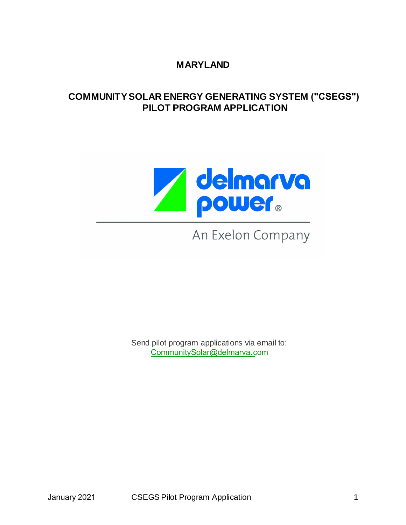## **MARYLAND**

## **COMMUNITY SOLAR ENERGY GENERATING SYSTEM ("CSEGS") PILOT PROGRAM APPLICATION**



# An Exelon Company

Send pilot program applications via email to: CommunitySolar@delmarva.com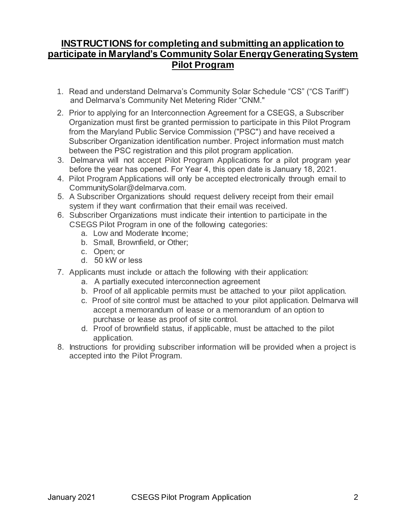## **INSTRUCTIONS for completing and submitting an application to participate in Maryland's Community Solar Energy Generating System Pilot Program**

- 1. Read and understand Delmarva's Community Solar Schedule "CS" ("CS Tariff") and Delmarva's Community Net Metering Rider "CNM."
- 2. Prior to applying for an Interconnection Agreement for a CSEGS, a Subscriber Organization must first be granted permission to participate in this Pilot Program from the Maryland Public Service Commission ("PSC") and have received a Subscriber Organization identification number. Project information must match between the PSC registration and this pilot program application.
- 3. Delmarva will not accept Pilot Program Applications for a pilot program year before the year has opened. For Year 4, this open date is January 18, 2021.
- 4. Pilot Program Applications will only be accepted electronically through email to CommunitySolar@delmarva.com.
- 5. A Subscriber Organizations should request delivery receipt from their email system if they want confirmation that their email was received.
- 6. Subscriber Organizations must indicate their intention to participate in the CSEGS Pilot Program in one of the following categories:
	- a. Low and Moderate Income;
	- b. Small, Brownfield, or Other;
	- c. Open; or
	- d. 50 kW or less
- 7. Applicants must include or attach the following with their application:
	- a. A partially executed interconnection agreement
	- b. Proof of all applicable permits must be attached to your pilot application.
	- accept a memorandum of lease or a memorandum of an option to purchase or lease as proof of site control. c. Proof of site control must be attached to your pilot application. Delmarva will
	- d. Proof of brownfield status, if applicable, must be attached to the pilot application.
- 8. Instructions for providing subscriber information will be provided when a project is accepted into the Pilot Program.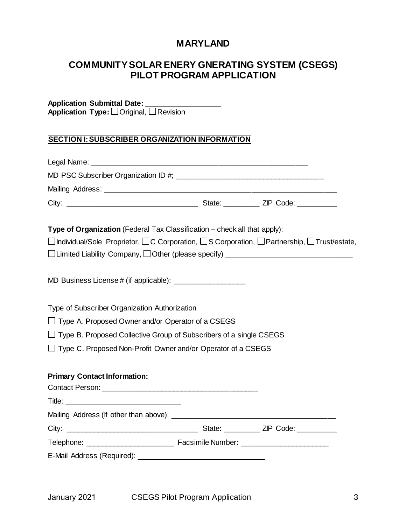## **MARYLAND**

## **COMMUNITY SOLAR ENERY GNERATING SYSTEM (CSEGS) PILOT PROGRAM APPLICATION**

#### **Application Submittal Date: \_\_\_\_\_\_\_\_\_\_\_\_\_\_\_\_\_\_\_ Application Type:** □Original, □Revision

#### **SECTION I:SUBSCRIBER ORGANIZATION INFORMATION**

|                                                   | Type of Organization (Federal Tax Classification - check all that apply):                                               |
|---------------------------------------------------|-------------------------------------------------------------------------------------------------------------------------|
|                                                   | $\Box$ Individual/Sole Proprietor, $\Box$ C Corporation, $\Box$ S Corporation, $\Box$ Partnership, $\Box$ Trust/estate, |
|                                                   | □Limited Liability Company, □Other (please specify) ____________________________                                        |
|                                                   |                                                                                                                         |
| Type of Subscriber Organization Authorization     |                                                                                                                         |
| Type A. Proposed Owner and/or Operator of a CSEGS |                                                                                                                         |
|                                                   | Type B. Proposed Collective Group of Subscribers of a single CSEGS                                                      |
|                                                   | $\Box$ Type C. Proposed Non-Profit Owner and/or Operator of a CSEGS                                                     |
| <b>Primary Contact Information:</b>               |                                                                                                                         |
|                                                   |                                                                                                                         |
|                                                   |                                                                                                                         |
|                                                   |                                                                                                                         |
|                                                   |                                                                                                                         |
|                                                   |                                                                                                                         |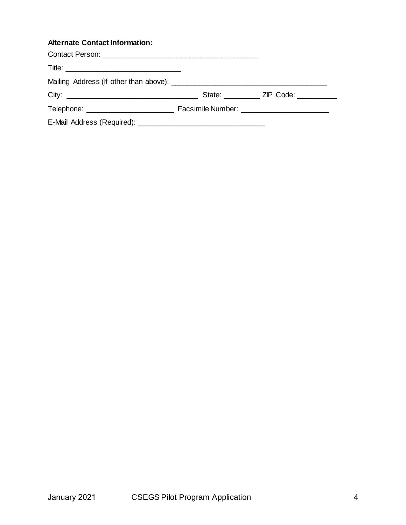## **Alternate Contact Information:**

|  | State: ZIP Code: |
|--|------------------|
|  |                  |
|  |                  |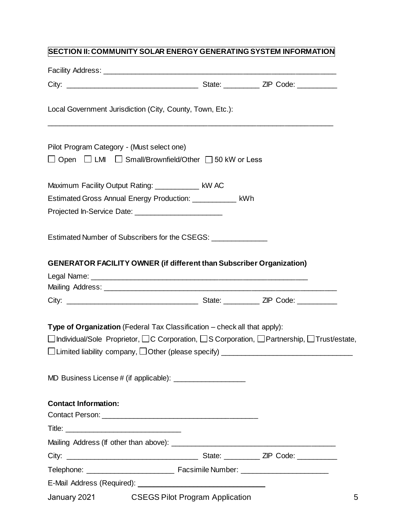# **SECTION II:COMMUNITY SOLAR ENERGY GENERATING SYSTEM INFORMATION**

| Local Government Jurisdiction (City, County, Town, Etc.):                                                                                                                                                                                                                                |  |  |  |
|------------------------------------------------------------------------------------------------------------------------------------------------------------------------------------------------------------------------------------------------------------------------------------------|--|--|--|
| Pilot Program Category - (Must select one)<br>Open $\Box$ LMI $\Box$ Small/Brownfield/Other $\Box$ 50 kW or Less                                                                                                                                                                         |  |  |  |
| Maximum Facility Output Rating: ____________ kW AC<br>Estimated Gross Annual Energy Production: ____________ kWh                                                                                                                                                                         |  |  |  |
| Estimated Number of Subscribers for the CSEGS: ______________                                                                                                                                                                                                                            |  |  |  |
| <b>GENERATOR FACILITY OWNER (if different than Subscriber Organization)</b>                                                                                                                                                                                                              |  |  |  |
|                                                                                                                                                                                                                                                                                          |  |  |  |
|                                                                                                                                                                                                                                                                                          |  |  |  |
|                                                                                                                                                                                                                                                                                          |  |  |  |
|                                                                                                                                                                                                                                                                                          |  |  |  |
| Type of Organization (Federal Tax Classification – check all that apply):<br>$\Box$ Individual/Sole Proprietor, $\Box$ C Corporation, $\Box$ S Corporation, $\Box$ Partnership, $\Box$ Trust/estate,<br>□Limited liability company, □Other (please specify) ____________________________ |  |  |  |
|                                                                                                                                                                                                                                                                                          |  |  |  |
| <b>Contact Information:</b>                                                                                                                                                                                                                                                              |  |  |  |
|                                                                                                                                                                                                                                                                                          |  |  |  |
|                                                                                                                                                                                                                                                                                          |  |  |  |
|                                                                                                                                                                                                                                                                                          |  |  |  |
|                                                                                                                                                                                                                                                                                          |  |  |  |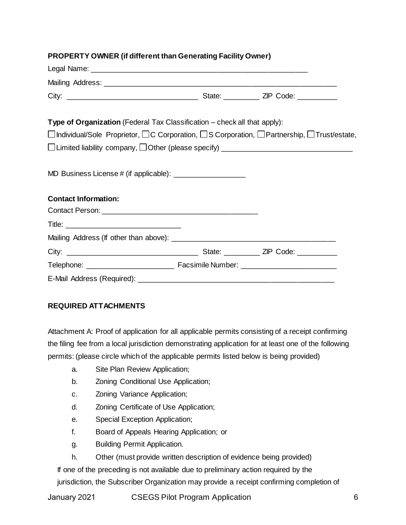## **PROPERTY OWNER (if different than Generating Facility Owner)**

| <b>Type of Organization</b> (Federal Tax Classification – check all that apply):                                        |  |
|-------------------------------------------------------------------------------------------------------------------------|--|
| $\Box$ Individual/Sole Proprietor, $\Box$ C Corporation, $\Box$ S Corporation, $\Box$ Partnership, $\Box$ Trust/estate, |  |
|                                                                                                                         |  |
|                                                                                                                         |  |
|                                                                                                                         |  |
| <b>Contact Information:</b>                                                                                             |  |
|                                                                                                                         |  |
|                                                                                                                         |  |
|                                                                                                                         |  |
|                                                                                                                         |  |
|                                                                                                                         |  |
|                                                                                                                         |  |

#### **REQUIRED ATTACHMENTS**

Attachment A: Proof of application for all applicable permits consisting of a receipt confirming the filing fee from a local jurisdiction demonstrating application for at least one of the following permits: (please circle which of the applicable permits listed below is being provided)

- a. Site Plan Review Application;
- b. Zoning Conditional Use Application;
- c. Zoning Variance Application;
- d. Zoning Certificate of Use Application;
- e. Special Exception Application;
- f. Board of Appeals Hearing Application; or
- g. Building Permit Application.
- h. Other (must provide written description of evidence being provided)

If one of the preceding is not available due to preliminary action required by the jurisdiction, the Subscriber Organization may provide a receipt confirming completion of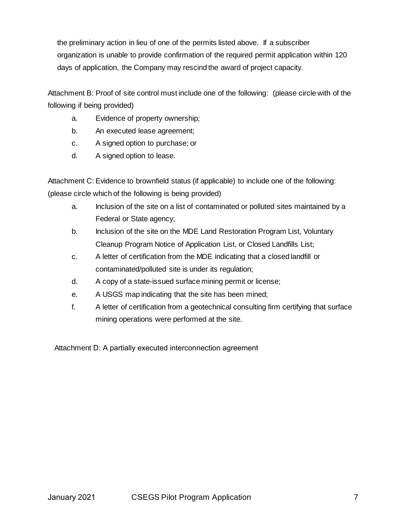the preliminary action in lieu of one of the permits listed above. If a subscriber organization is unable to provide confirmation of the required permit application within 120 days of application, the Company may rescind the award of project capacity.

Attachment B: Proof of site control must include one of the following: (please circle with of the following if being provided)

- a. Evidence of property ownership;
- b. An executed lease agreement;
- c. A signed option to purchase; or
- d. A signed option to lease.

Attachment C: Evidence to brownfield status (if applicable) to include one of the following: (please circle which of the following is being provided)

- a. Inclusion of the site on a list of contaminated or polluted sites maintained by a Federal or State agency;
- b. Inclusion of the site on the MDE Land Restoration Program List, Voluntary Cleanup Program Notice of Application List, or Closed Landfills List;
- c. A letter of certification from the MDE indicating that a closed landfill or contaminated/polluted site is under its regulation;
- d. A copy of a state-issued surface mining permit or license;
- e. A USGS map indicating that the site has been mined;
- f. A letter of certification from a geotechnical consulting firm certifying that surface mining operations were performed at the site.

Attachment D: A partially executed interconnection agreement